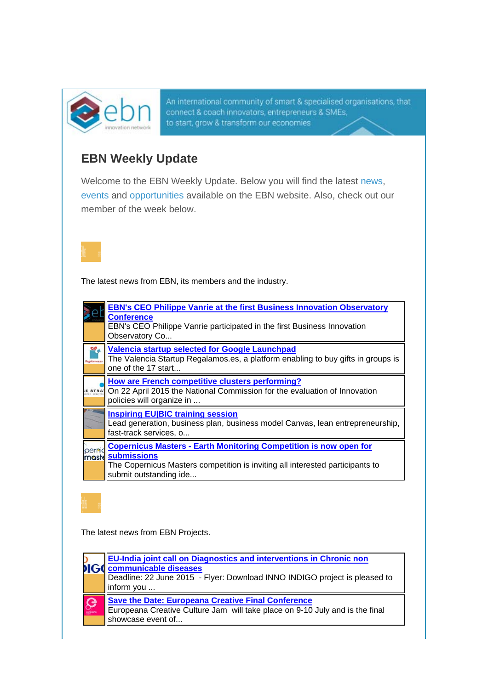

An international community of smart & specialised organisations, that connect & coach innovators, entrepreneurs & SMEs, to start, grow & transform our economies

## **EBN Weekly Update**

Welcome to the EBN Weekly Update. Below you will find the latest news, events and opportunities available on the EBN website. Also, check out our member of the week below.



The latest news from EBN, its members and the industry.

|        | <b>EBN's CEO Philippe Vanrie at the first Business Innovation Observatory</b><br><b>Conference</b><br>EBN's CEO Philippe Vanrie participated in the first Business Innovation<br>Observatory Co          |
|--------|----------------------------------------------------------------------------------------------------------------------------------------------------------------------------------------------------------|
|        | Valencia startup selected for Google Launchpad<br>The Valencia Startup Regalamos.es, a platform enabling to buy gifts in groups is<br>one of the 17 start                                                |
|        | How are French competitive clusters performing?<br>E STRANO ON 22 April 2015 the National Commission for the evaluation of Innovation<br>policies will organize in                                       |
|        | <b>Inspiring EU BIC training session</b><br>Lead generation, business plan, business model Canvas, lean entrepreneurship,<br>fast-track services, o                                                      |
| pernic | <b>Copernicus Masters - Earth Monitoring Competition is now open for</b><br>moste submissions<br>The Copernicus Masters competition is inviting all interested participants to<br>submit outstanding ide |

The latest news from EBN Projects.

|              | <b>EU-India joint call on Diagnostics and interventions in Chronic non</b><br><b>Communicable diseases</b><br>Deadline: 22 June 2015 - Flyer: Download INNO INDIGO project is pleased to<br>linform you |
|--------------|---------------------------------------------------------------------------------------------------------------------------------------------------------------------------------------------------------|
| $\mathbf{Q}$ | Save the Date: Europeana Creative Final Conference<br>Europeana Creative Culture Jam will take place on 9-10 July and is the final<br>showcase event of                                                 |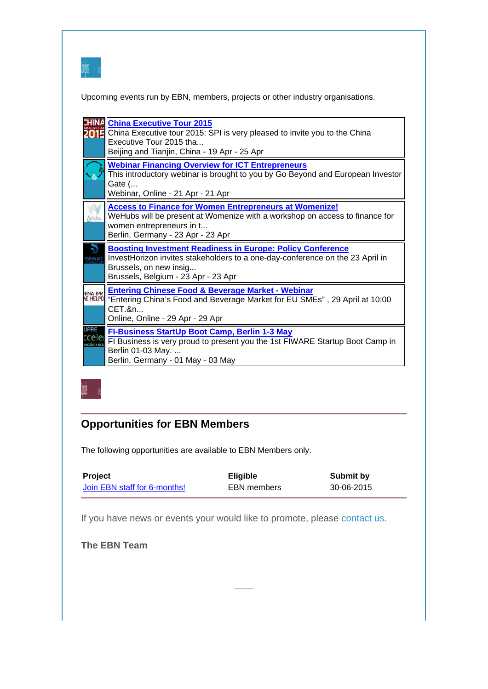

Upcoming events run by EBN, members, projects or other industry organisations.

|                                    | <b>China Executive Tour 2015</b><br>China Executive tour 2015: SPI is very pleased to invite you to the China<br>Executive Tour 2015 tha<br>Beijing and Tianjin, China - 19 Apr - 25 Apr                            |
|------------------------------------|---------------------------------------------------------------------------------------------------------------------------------------------------------------------------------------------------------------------|
|                                    | <b>Webinar Financing Overview for ICT Entrepreneurs</b><br>This introductory webinar is brought to you by Go Beyond and European Investor<br>Gate (<br>Webinar, Online - 21 Apr - 21 Apr                            |
|                                    | <b>Access to Finance for Women Entrepreneurs at Womenize!</b><br>WeHubs will be present at Womenize with a workshop on access to finance for<br>women entrepreneurs in t<br>Berlin, Germany - 23 Apr - 23 Apr       |
|                                    | <b>Boosting Investment Readiness in Europe: Policy Conference</b><br>InvestHorizon invites stakeholders to a one-day-conference on the 23 April in<br>Brussels, on new insig<br>Brussels, Belgium - 23 Apr - 23 Apr |
| <b>HINA IPR</b><br><b>NE HELPD</b> | <b>Entering Chinese Food &amp; Beverage Market - Webinar</b><br>"Entering China's Food and Beverage Market for EU SMEs", 29 April at 10:00<br>CET.&n<br>Online, Online - 29 Apr - 29 Apr                            |
| ijare<br>rrele<br>vation ecc       | <b>FI-Business StartUp Boot Camp, Berlin 1-3 May</b><br>FI Business is very proud to present you the 1st FIWARE Startup Boot Camp in<br>Berlin 01-03 May.<br>Berlin, Germany - 01 May - 03 May                      |



## **Opportunities for EBN Members**

The following opportunities are available to EBN Members only.

| Project                      | <b>Eligible</b> | Submit by  |
|------------------------------|-----------------|------------|
| Join EBN staff for 6-months! | EBN members     | 30-06-2015 |

If you have news or events your would like to promote, please contact us.

**The EBN Team**